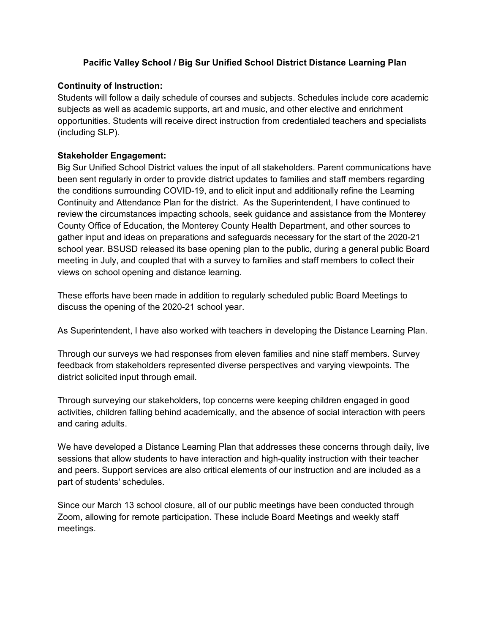# **Pacific Valley School / Big Sur Unified School District Distance Learning Plan**

## **Continuity of Instruction:**

Students will follow a daily schedule of courses and subjects. Schedules include core academic subjects as well as academic supports, art and music, and other elective and enrichment opportunities. Students will receive direct instruction from credentialed teachers and specialists (including SLP).

## **Stakeholder Engagement:**

Big Sur Unified School District values the input of all stakeholders. Parent communications have been sent regularly in order to provide district updates to families and staff members regarding the conditions surrounding COVID-19, and to elicit input and additionally refine the Learning Continuity and Attendance Plan for the district. As the Superintendent, I have continued to review the circumstances impacting schools, seek guidance and assistance from the Monterey County Office of Education, the Monterey County Health Department, and other sources to gather input and ideas on preparations and safeguards necessary for the start of the 2020-21 school year. BSUSD released its base opening plan to the public, during a general public Board meeting in July, and coupled that with a survey to families and staff members to collect their views on school opening and distance learning.

These efforts have been made in addition to regularly scheduled public Board Meetings to discuss the opening of the 2020-21 school year.

As Superintendent, I have also worked with teachers in developing the Distance Learning Plan.

Through our surveys we had responses from eleven families and nine staff members. Survey feedback from stakeholders represented diverse perspectives and varying viewpoints. The district solicited input through email.

Through surveying our stakeholders, top concerns were keeping children engaged in good activities, children falling behind academically, and the absence of social interaction with peers and caring adults.

We have developed a Distance Learning Plan that addresses these concerns through daily, live sessions that allow students to have interaction and high-quality instruction with their teacher and peers. Support services are also critical elements of our instruction and are included as a part of students' schedules.

Since our March 13 school closure, all of our public meetings have been conducted through Zoom, allowing for remote participation. These include Board Meetings and weekly staff meetings.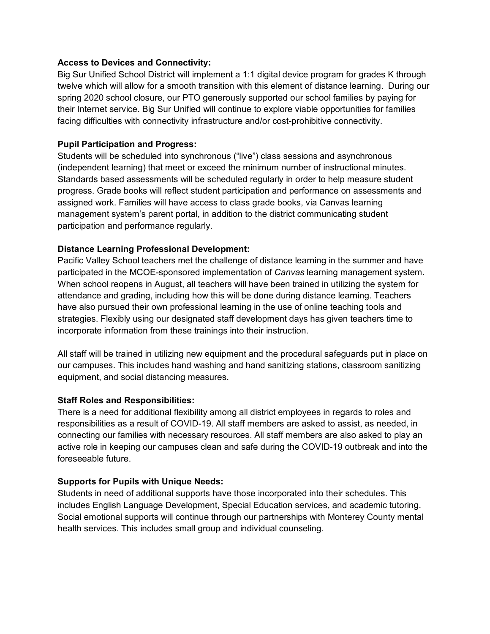## **Access to Devices and Connectivity:**

Big Sur Unified School District will implement a 1:1 digital device program for grades K through twelve which will allow for a smooth transition with this element of distance learning. During our spring 2020 school closure, our PTO generously supported our school families by paying for their Internet service. Big Sur Unified will continue to explore viable opportunities for families facing difficulties with connectivity infrastructure and/or cost-prohibitive connectivity.

## **Pupil Participation and Progress:**

Students will be scheduled into synchronous ("live") class sessions and asynchronous (independent learning) that meet or exceed the minimum number of instructional minutes. Standards based assessments will be scheduled regularly in order to help measure student progress. Grade books will reflect student participation and performance on assessments and assigned work. Families will have access to class grade books, via Canvas learning management system's parent portal, in addition to the district communicating student participation and performance regularly.

## **Distance Learning Professional Development:**

Pacific Valley School teachers met the challenge of distance learning in the summer and have participated in the MCOE-sponsored implementation of *Canvas* learning management system. When school reopens in August, all teachers will have been trained in utilizing the system for attendance and grading, including how this will be done during distance learning. Teachers have also pursued their own professional learning in the use of online teaching tools and strategies. Flexibly using our designated staff development days has given teachers time to incorporate information from these trainings into their instruction.

All staff will be trained in utilizing new equipment and the procedural safeguards put in place on our campuses. This includes hand washing and hand sanitizing stations, classroom sanitizing equipment, and social distancing measures.

## **Staff Roles and Responsibilities:**

There is a need for additional flexibility among all district employees in regards to roles and responsibilities as a result of COVID-19. All staff members are asked to assist, as needed, in connecting our families with necessary resources. All staff members are also asked to play an active role in keeping our campuses clean and safe during the COVID-19 outbreak and into the foreseeable future.

# **Supports for Pupils with Unique Needs:**

Students in need of additional supports have those incorporated into their schedules. This includes English Language Development, Special Education services, and academic tutoring. Social emotional supports will continue through our partnerships with Monterey County mental health services. This includes small group and individual counseling.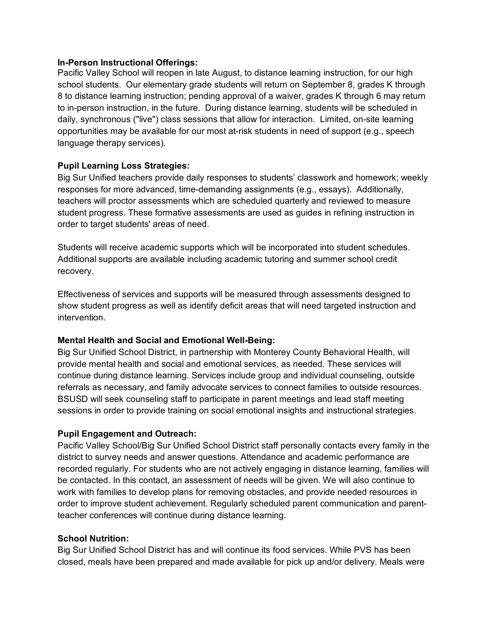#### **In-Person Instructional Offerings:**

Pacific Valley School will reopen in late August, to distance learning instruction, for our high school students. Our elementary grade students will return on September 8, grades K through 8 to distance learning instruction; pending approval of a waiver, grades K through 6 may return to in-person instruction, in the future. During distance learning, students will be scheduled in daily, synchronous ("live") class sessions that allow for interaction. Limited, on-site learning opportunities may be available for our most at-risk students in need of support (e.g., speech language therapy services).

## **Pupil Learning Loss Strategies:**

Big Sur Unified teachers provide daily responses to students' classwork and homework; weekly responses for more advanced, time-demanding assignments (e.g., essays). Additionally, teachers will proctor assessments which are scheduled quarterly and reviewed to measure student progress. These formative assessments are used as guides in refining instruction in order to target students' areas of need.

Students will receive academic supports which will be incorporated into student schedules. Additional supports are available including academic tutoring and summer school credit recovery.

Effectiveness of services and supports will be measured through assessments designed to show student progress as well as identify deficit areas that will need targeted instruction and intervention.

## **Mental Health and Social and Emotional Well-Being:**

Big Sur Unified School District, in partnership with Monterey County Behavioral Health, will provide mental health and social and emotional services, as needed. These services will continue during distance learning. Services include group and individual counseling, outside referrals as necessary, and family advocate services to connect families to outside resources. BSUSD will seek counseling staff to participate in parent meetings and lead staff meeting sessions in order to provide training on social emotional insights and instructional strategies.

## **Pupil Engagement and Outreach:**

Pacific Valley School/Big Sur Unified School District staff personally contacts every family in the district to survey needs and answer questions. Attendance and academic performance are recorded regularly. For students who are not actively engaging in distance learning, families will be contacted. In this contact, an assessment of needs will be given. We will also continue to work with families to develop plans for removing obstacles, and provide needed resources in order to improve student achievement. Regularly scheduled parent communication and parentteacher conferences will continue during distance learning.

## **School Nutrition:**

Big Sur Unified School District has and will continue its food services. While PVS has been closed, meals have been prepared and made available for pick up and/or delivery. Meals were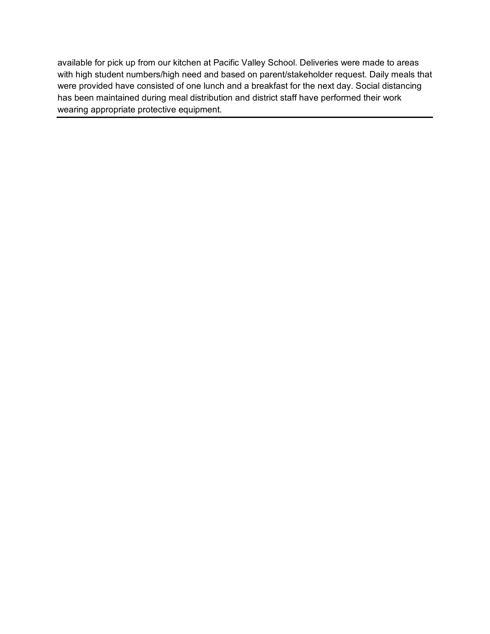available for pick up from our kitchen at Pacific Valley School. Deliveries were made to areas with high student numbers/high need and based on parent/stakeholder request. Daily meals that were provided have consisted of one lunch and a breakfast for the next day. Social distancing has been maintained during meal distribution and district staff have performed their work wearing appropriate protective equipment.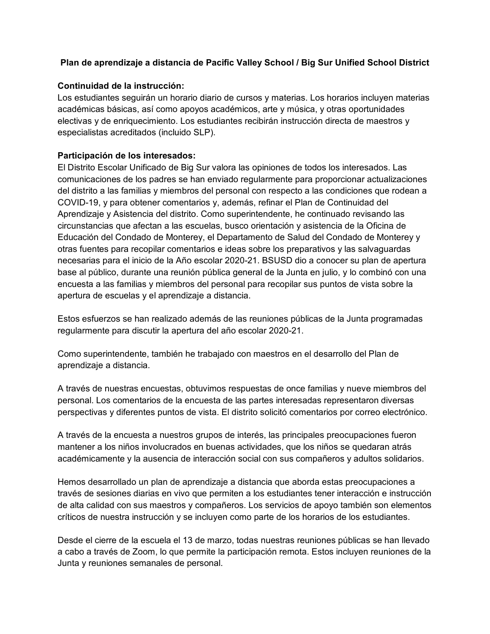## **Plan de aprendizaje a distancia de Pacific Valley School / Big Sur Unified School District**

## **Continuidad de la instrucción:**

Los estudiantes seguirán un horario diario de cursos y materias. Los horarios incluyen materias académicas básicas, así como apoyos académicos, arte y música, y otras oportunidades electivas y de enriquecimiento. Los estudiantes recibirán instrucción directa de maestros y especialistas acreditados (incluido SLP).

#### **Participación de los interesados:**

El Distrito Escolar Unificado de Big Sur valora las opiniones de todos los interesados. Las comunicaciones de los padres se han enviado regularmente para proporcionar actualizaciones del distrito a las familias y miembros del personal con respecto a las condiciones que rodean a COVID-19, y para obtener comentarios y, además, refinar el Plan de Continuidad del Aprendizaje y Asistencia del distrito. Como superintendente, he continuado revisando las circunstancias que afectan a las escuelas, busco orientación y asistencia de la Oficina de Educación del Condado de Monterey, el Departamento de Salud del Condado de Monterey y otras fuentes para recopilar comentarios e ideas sobre los preparativos y las salvaguardas necesarias para el inicio de la Año escolar 2020-21. BSUSD dio a conocer su plan de apertura base al público, durante una reunión pública general de la Junta en julio, y lo combinó con una encuesta a las familias y miembros del personal para recopilar sus puntos de vista sobre la apertura de escuelas y el aprendizaje a distancia.

Estos esfuerzos se han realizado además de las reuniones públicas de la Junta programadas regularmente para discutir la apertura del año escolar 2020-21.

Como superintendente, también he trabajado con maestros en el desarrollo del Plan de aprendizaje a distancia.

A través de nuestras encuestas, obtuvimos respuestas de once familias y nueve miembros del personal. Los comentarios de la encuesta de las partes interesadas representaron diversas perspectivas y diferentes puntos de vista. El distrito solicitó comentarios por correo electrónico.

A través de la encuesta a nuestros grupos de interés, las principales preocupaciones fueron mantener a los niños involucrados en buenas actividades, que los niños se quedaran atrás académicamente y la ausencia de interacción social con sus compañeros y adultos solidarios.

Hemos desarrollado un plan de aprendizaje a distancia que aborda estas preocupaciones a través de sesiones diarias en vivo que permiten a los estudiantes tener interacción e instrucción de alta calidad con sus maestros y compañeros. Los servicios de apoyo también son elementos críticos de nuestra instrucción y se incluyen como parte de los horarios de los estudiantes.

Desde el cierre de la escuela el 13 de marzo, todas nuestras reuniones públicas se han llevado a cabo a través de Zoom, lo que permite la participación remota. Estos incluyen reuniones de la Junta y reuniones semanales de personal.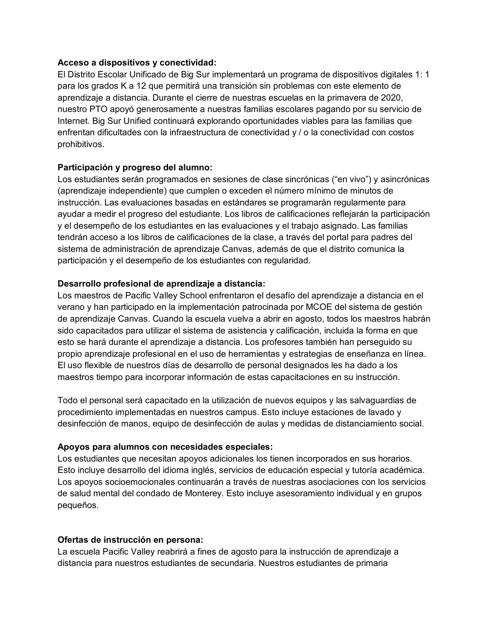#### **Acceso a dispositivos y conectividad:**

El Distrito Escolar Unificado de Big Sur implementará un programa de dispositivos digitales 1: 1 para los grados K a 12 que permitirá una transición sin problemas con este elemento de aprendizaje a distancia. Durante el cierre de nuestras escuelas en la primavera de 2020, nuestro PTO apoyó generosamente a nuestras familias escolares pagando por su servicio de Internet. Big Sur Unified continuará explorando oportunidades viables para las familias que enfrentan dificultades con la infraestructura de conectividad y / o la conectividad con costos prohibitivos.

## **Participación y progreso del alumno:**

Los estudiantes serán programados en sesiones de clase sincrónicas ("en vivo") y asincrónicas (aprendizaje independiente) que cumplen o exceden el número mínimo de minutos de instrucción. Las evaluaciones basadas en estándares se programarán regularmente para ayudar a medir el progreso del estudiante. Los libros de calificaciones reflejarán la participación y el desempeño de los estudiantes en las evaluaciones y el trabajo asignado. Las familias tendrán acceso a los libros de calificaciones de la clase, a través del portal para padres del sistema de administración de aprendizaje Canvas, además de que el distrito comunica la participación y el desempeño de los estudiantes con regularidad.

## **Desarrollo profesional de aprendizaje a distancia:**

Los maestros de Pacific Valley School enfrentaron el desafío del aprendizaje a distancia en el verano y han participado en la implementación patrocinada por MCOE del sistema de gestión de aprendizaje Canvas. Cuando la escuela vuelva a abrir en agosto, todos los maestros habrán sido capacitados para utilizar el sistema de asistencia y calificación, incluida la forma en que esto se hará durante el aprendizaje a distancia. Los profesores también han perseguido su propio aprendizaje profesional en el uso de herramientas y estrategias de enseñanza en línea. El uso flexible de nuestros días de desarrollo de personal designados les ha dado a los maestros tiempo para incorporar información de estas capacitaciones en su instrucción.

Todo el personal será capacitado en la utilización de nuevos equipos y las salvaguardias de procedimiento implementadas en nuestros campus. Esto incluye estaciones de lavado y desinfección de manos, equipo de desinfección de aulas y medidas de distanciamiento social.

## **Apoyos para alumnos con necesidades especiales:**

Los estudiantes que necesitan apoyos adicionales los tienen incorporados en sus horarios. Esto incluye desarrollo del idioma inglés, servicios de educación especial y tutoría académica. Los apoyos socioemocionales continuarán a través de nuestras asociaciones con los servicios de salud mental del condado de Monterey. Esto incluye asesoramiento individual y en grupos pequeños.

## **Ofertas de instrucción en persona:**

La escuela Pacific Valley reabrirá a fines de agosto para la instrucción de aprendizaje a distancia para nuestros estudiantes de secundaria. Nuestros estudiantes de primaria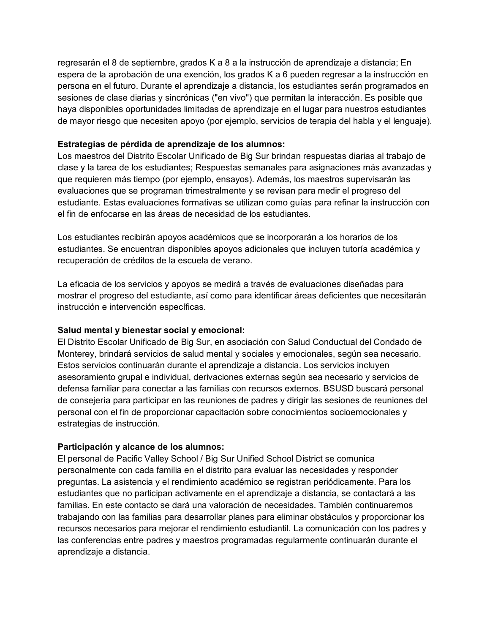regresarán el 8 de septiembre, grados K a 8 a la instrucción de aprendizaje a distancia; En espera de la aprobación de una exención, los grados K a 6 pueden regresar a la instrucción en persona en el futuro. Durante el aprendizaje a distancia, los estudiantes serán programados en sesiones de clase diarias y sincrónicas ("en vivo") que permitan la interacción. Es posible que haya disponibles oportunidades limitadas de aprendizaje en el lugar para nuestros estudiantes de mayor riesgo que necesiten apoyo (por ejemplo, servicios de terapia del habla y el lenguaje).

## **Estrategias de pérdida de aprendizaje de los alumnos:**

Los maestros del Distrito Escolar Unificado de Big Sur brindan respuestas diarias al trabajo de clase y la tarea de los estudiantes; Respuestas semanales para asignaciones más avanzadas y que requieren más tiempo (por ejemplo, ensayos). Además, los maestros supervisarán las evaluaciones que se programan trimestralmente y se revisan para medir el progreso del estudiante. Estas evaluaciones formativas se utilizan como guías para refinar la instrucción con el fin de enfocarse en las áreas de necesidad de los estudiantes.

Los estudiantes recibirán apoyos académicos que se incorporarán a los horarios de los estudiantes. Se encuentran disponibles apoyos adicionales que incluyen tutoría académica y recuperación de créditos de la escuela de verano.

La eficacia de los servicios y apoyos se medirá a través de evaluaciones diseñadas para mostrar el progreso del estudiante, así como para identificar áreas deficientes que necesitarán instrucción e intervención específicas.

# **Salud mental y bienestar social y emocional:**

El Distrito Escolar Unificado de Big Sur, en asociación con Salud Conductual del Condado de Monterey, brindará servicios de salud mental y sociales y emocionales, según sea necesario. Estos servicios continuarán durante el aprendizaje a distancia. Los servicios incluyen asesoramiento grupal e individual, derivaciones externas según sea necesario y servicios de defensa familiar para conectar a las familias con recursos externos. BSUSD buscará personal de consejería para participar en las reuniones de padres y dirigir las sesiones de reuniones del personal con el fin de proporcionar capacitación sobre conocimientos socioemocionales y estrategias de instrucción.

## **Participación y alcance de los alumnos:**

El personal de Pacific Valley School / Big Sur Unified School District se comunica personalmente con cada familia en el distrito para evaluar las necesidades y responder preguntas. La asistencia y el rendimiento académico se registran periódicamente. Para los estudiantes que no participan activamente en el aprendizaje a distancia, se contactará a las familias. En este contacto se dará una valoración de necesidades. También continuaremos trabajando con las familias para desarrollar planes para eliminar obstáculos y proporcionar los recursos necesarios para mejorar el rendimiento estudiantil. La comunicación con los padres y las conferencias entre padres y maestros programadas regularmente continuarán durante el aprendizaje a distancia.